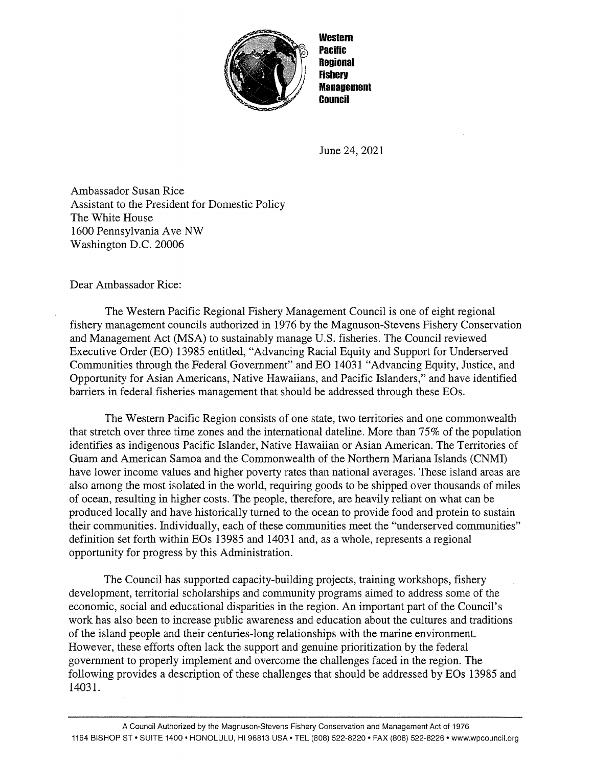

**Western** Pacific **Regional Fishery** Management / Council

June 24, 2021

Ambassador Susan Rice Assistant to the President for Domestic Policy The White House 1600 Pennsylvania Ave NW Washington D.C. 20006

Dear Ambassador Rice:

The Western Pacific Regional Fishery Management Council is one of eight regional fishery management councils authorized in 1976 by the Magnuson-Stevens Fishery Conservation and Management Act (MSA) to sustainably manage U.S. fisheries. The Council reviewed Executive Order (EO) 13985 entitled, "Advancing Racial Equity and Support for Underserved Communities through the Federal Government" and EO 14031 "Advancing Equity, Justice, and Opportunity for Asian Americans, Native Hawaiians, and Pacific Islanders," and have identified barriers in federal fisheries management that should be addressed through these EOs.

The Western Pacific Region consists of one state, two territories and one commonwealth that stretch over three time zones and the international dateline. More than 75% of the population identifies as indigenous Pacific Islander, Native Hawaiian or Asian American. The Territories of Guam and American Samoa and the Commonwealth of the Northern Mariana Islands (CNMI) have lower income values and higher poverty rates than national averages. These island areas are also among the most isolated in the world, requiring goods to be shipped over thousands of miles of ocean, resulting in higher costs. The people, therefore, are heavily reliant on what can be produced locally and have historically turned to the ocean to provide food and protein to sustain their communities. Individually, each of these communities meet the "underserved communities" definition set forth within EOs 13985 and 14031 and, as a whole, represents <sup>a</sup> regional opportunity for progress by this Administration.

The Council has supported capacity-building projects, training workshops, fishery development, territorial scholarships and community programs aimed to address some of the economic, social and educational disparities in the region. An important part of the Council's work has also been to increase public awareness and education about the cultures and traditions of the island people and their centuries-long relationships with the marine environment. However, these efforts often lack the support and genuine prioritization by the federal government to properly implement and overcome the challenges faced in the region. The following provides a description of these challenges that should be addressed by EOs 13985 and 14031.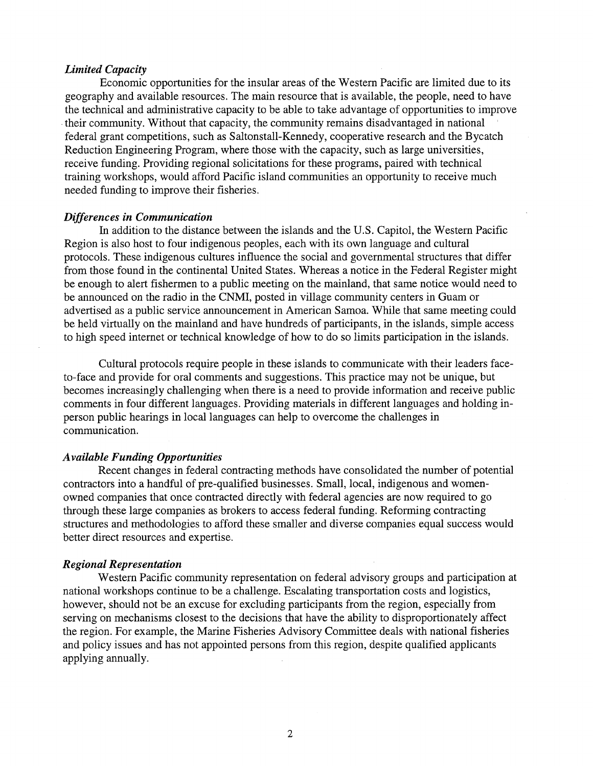# Limited Capacity

Economic opportunities for the insular areas of the Western Pacific are limited due to its geography and available resources. The main resource that is available, the people, need to have the technical and administrative capacity to be able to take advantage of opportunities to improve their connnunity. Without that capacity, the community remains disadvantaged in national federal grant competitions, such as Saltonstall-Kennedy, cooperative research and the Bycatch Reduction Engineering Program, where those with the capacity, such as large universities, receive funding. Providing regional solicitations for these programs, paired with technical training workshops, would afford Pacific island communities an opportunity to receive much needed funding to improve their fisheries.

## Differences in Communication

In addition to the distance between the islands and the U.S. Capitol, the Western Pacific Region is also host to four indigenous peoples, each with its own language and cultural protocols. These indigenous cultures influence the social and governmental structures that differ from those found in the continental United States. Whereas a notice in the Federal Register might be enough to alert fishermen to a public meeting on the mainland, that same notice would need to be announced on the radio in the CNMI, posted in village community centers in Guam or advertised as a public service announcement in American Samoa. While that same meeting could be held virtually on the mainland and have hundreds of participants, in the islands, simple access to high speed internet or technical knowledge of how to do so limits participation in the islands.

Cultural protocols require people in these islands to communicate with their leaders faceto-face and provide for oral comments and suggestions. This practice may not be unique, but becomes increasingly challenging when there is a need to provide information and receive public comments in four different languages. Providing materials in different languages and holding inperson public hearings in local languages can help to overcome the challenges in communication.

## Available Funding Opportunities

Recent changes in federal contracting methods have consolidated the number of potential contractors into a handful of pre-qualified businesses. Small, local, indigenous and womenowned companies that once contracted directly with federal agencies are now required to go through these large companies as brokers to access federal funding. Reforming contracting structures and methodologies to afford these smaller and diverse companies equal success would better direct resources and expertise.

## Regional Representation

Western Pacific community representation on federal advisory groups and participation at national workshops continue to be a challenge. Escalating transportation costs and logistics, however, should not be an excuse for excluding participants from the region, especially from serving on mechanisms closest to the decisions that have the ability to disproportionately affect the region. For example, the Marine Fisheries Advisory Committee deals with national fisheries and policy issues and has not appointed persons from this region, despite qualified applicants applying annually.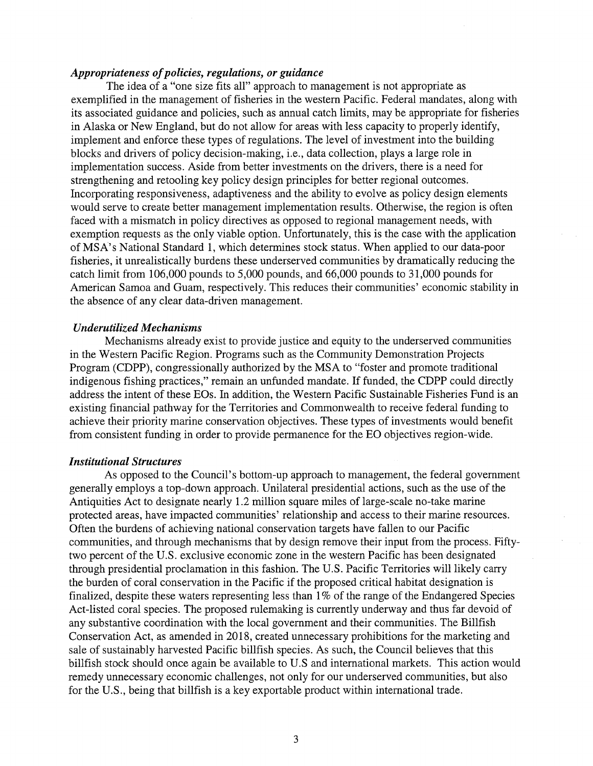# Appropriateness of policies, regulations, or guidance

The idea of <sup>a</sup> "one size fits all" approach to management is not appropriate as exemplified in the management of fisheries in the western Pacific. Federal mandates, along with its associated guidance and policies, such as annual catch limits, may be appropriate for fisheries in Alaska or New England, but do not allow for areas with less capacity to properly identify, implement and enforce these types of regulations. The level of investment into the building blocks and drivers of policy decision-making, i.e., data collection, plays <sup>a</sup> large role in implementation success. Aside from better investments on the drivers, there is a need for strengthening and retooling key policy design principles for better regional outcomes. Incorporating responsiveness, adaptiveness and the ability to evolve as policy design elements would serve to create better management implementation results. Otherwise, the region is often faced with a mismatch in policy directives as opposed to regional management needs, with exemption requests as the only viable option. Unfortunately, this is the case with the application of MSA' <sup>s</sup> National Standard 1, which determines stock status. When applied to our data-poor fisheries, it unrealistically burdens these underserved communities by dramatically reducing the catch limit from 106,000 pounds to 5,000 pounds, and 66,000 pounds to 31,000 pounds for American Samoa and Guam, respectively. This reduces their communities' economic stability in the absence of any clear data-driven management.

#### Underutilized Mechanisms

Mechanisms already exist to provide justice and equity to the underserved communities in the Western Pacific Region. Programs such as the Community Demonstration Projects Program (CDPP), congressionally authorized by the MSA to "foster and promote traditional indigenous fishing practices," remain an unfunded mandate. If funded, the CDPP could directly address the intent of these EQs. In addition, the Western Pacific Sustainable Fisheries Fund is an existing financial pathway for the Territories and Commonwealth to receive federal funding to achieve their priority marine conservation objectives. These types of investments would benefit from consistent funding in order to provide permanence for the EQ objectives region-wide.

## Institutional Structures

As opposed to the Council's bottom-up approach to management, the federal government generally employs <sup>a</sup> top-down approach. Unilateral presidential actions, such as the use of the Antiquities Act to designate nearly 1.2 million square miles of large-scale no-take marine protected areas, have impacted communities' relationship and access to their marine resources. Often the burdens of achieving national conservation targets have fallen to our Pacific communities, and through mechanisms that by design remove their input from the process. Fiftytwo percent of the U.S. exclusive economic zone in the western Pacific has been designated through presidential proclamation in this fashion. The U.S. Pacific Territories will likely carry the burden of coral conservation in the Pacific if the proposed critical habitat designation is finalized, despite these waters representing less than 1% of the range of the Endangered Species Act-listed coral species. The proposed rulemaking is currently underway and thus far devoid of any substantive coordination with the local government and their communities. The Billfish Conservation Act, as amended in 2018, created unnecessary prohibitions for the marketing and sale of sustainably harvested Pacific billfish species. As such, the Council believes that this billfish stock should once again be available to U.S and international markets. This action would remedy unnecessary economic challenges, not only for our underserved communities, but also for the U.S., being that billfish is <sup>a</sup> key exportable product within international trade.